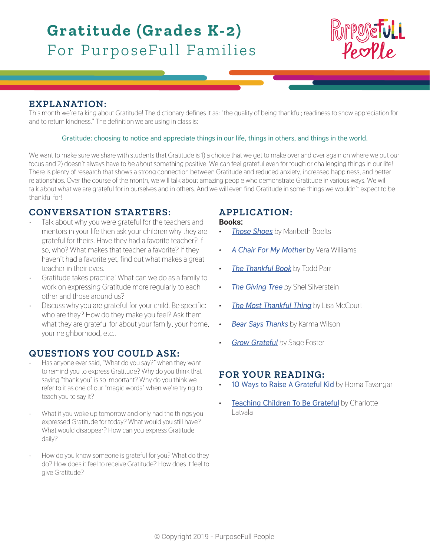# **Gratitude (Grades K-2)** For PurposeFull Families



## **EXPLANATION:**

This month we're talking about Gratitude! The dictionary defines it as: "the quality of being thankful; readiness to show appreciation for and to return kindness." The definition we are using in class is:

### **Gratitude: choosing to notice and appreciate things in our life, things in others, and things in the world.**

We want to make sure we share with students that Gratitude is 1) a choice that we get to make over and over again on where we put our focus and 2) doesn't always have to be about something positive. We can feel grateful even for tough or challenging things in our life! There is plenty of research that shows a strong connection between Gratitude and reduced anxiety, increased happiness, and better relationships. Over the course of the month, we will talk about amazing people who demonstrate Gratitude in various ways. We will talk about what we are grateful for in ourselves and in others. And we will even find Gratitude in some things we wouldn't expect to be thankful for!

## **CONVERSATION STARTERS:**

- Talk about why you were grateful for the teachers and mentors in your life then ask your children why they are grateful for theirs. Have they had a favorite teacher? If so, who? What makes that teacher a favorite? If they haven't had a favorite yet, find out what makes a great teacher in their eyes.
- Gratitude takes practice! What can we do as a family to work on expressing Gratitude more regularly to each other and those around us?
- Discuss why you are grateful for your child. Be specific: who are they? How do they make you feel? Ask them what they are grateful for about your family, your home, your neighborhood, etc..

## **QUESTIONS YOU COULD ASK:**

- Has anyone ever said, "What do you say?" when they want to remind you to express Gratitude? Why do you think that saying "thank you" is so important? Why do you think we refer to it as one of our "magic words" when we're trying to teach you to say it?
- What if you woke up tomorrow and only had the things you expressed Gratitude for today? What would you still have? What would disappear? How can you express Gratitude daily?
- How do you know someone is grateful for you? What do they do? How does it feel to receive Gratitude? How does it feel to give Gratitude?

# **APPLICATION:**

### **Books:**

- *[Those Shoes](https://www.amazon.com/Those-Shoes-Maribeth-Boelts/dp/0763642843/ref=pd_bxgy_14_img_2?_encoding=UTF8&pd_rd_i=0763642843&pd_rd_r=ea75de63-21ae-11e9-81c1-55944d4ed8db&pd_rd_w=7aHkh&pd_rd_wg=ERBcd&pf_rd_p=6725dbd6-9917-451d-beba-16af7874e407&pf_rd_r=VMMGDBD79N7FBS90D05V&psc=1&refRID=VMMGDBD79N7FBS90D05V)* by Maribeth Boelts
- *• [A Chair For My Mother](https://www.amazon.com/Chair-Mother-Anniversary-Reading-Rainbow/dp/0688040748/ref=sr_1_1?ie=UTF8&qid=1548885271&sr=8-1&keywords=a+chair+for+my+mother+by+vera+williams)* by Vera Williams
- *[The Thankful Book](https://www.amazon.com/Thankful-Book-Todd-Parr/dp/0316181013/ref=tmm_hrd_swatch_0?_encoding=UTF8&qid=1549240742&sr=1-1)* by Todd Parr
- *[The Giving Tree](https://www.amazon.com/Giving-Tree-Shel-Silverstein/dp/0060256656/ref=tmm_hrd_swatch_0?_encoding=UTF8&qid=1549240929&sr=1-1)* by Shel Silverstein
- *• [The Most Thankful Thing](https://www.amazon.ca/Most-Thankful-Thing-Lisa-McCourt/dp/0439650836/ref=sr_1_1?ie=UTF8&qid=1549241048&sr=8-1&keywords=the+most+thankful+thing)* by Lisa McCourt
- *• [Bear Says Thanks](https://www.amazon.ca/Bear-Says-Thanks-Karma-Wilson/dp/1416958568/ref=sr_1_1?ie=UTF8&qid=1549241175&sr=8-1&keywords=bear+says+thanks)* by Karma Wilson
- *• [Grow Grateful](https://www.amazon.com/Grow-Grateful-Sage-Foster-Lasser/dp/1433829037/ref=olp_product_details?_encoding=UTF8&me=)* by Sage Foster

## **FOR YOUR READING:**

- **• [10 Ways to Raise A Grateful Kid](http://www.pbs.org/parents/special/article-ten-ways-raise-grateful-kid.html)** by Homa Tavangar
- **[Teaching Children To Be Grateful](https://www.parents.com/toddlers-preschoolers/development/behavioral/teaching-children-to-be-grateful/)** by Charlotte Latvala